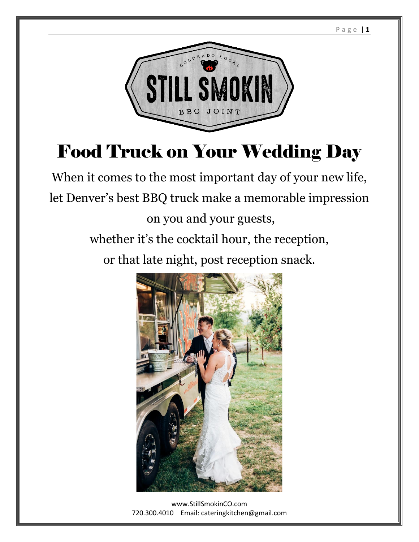

# Food Truck on Your Wedding Day

When it comes to the most important day of your new life, let Denver's best BBQ truck make a memorable impression on you and your guests, whether it's the cocktail hour, the reception, or that late night, post reception snack.



[www.StillSmokinCO.com](http://www.stillsmokinco.com/) 720.300.4010 Email: cateringkitchen@gmail.com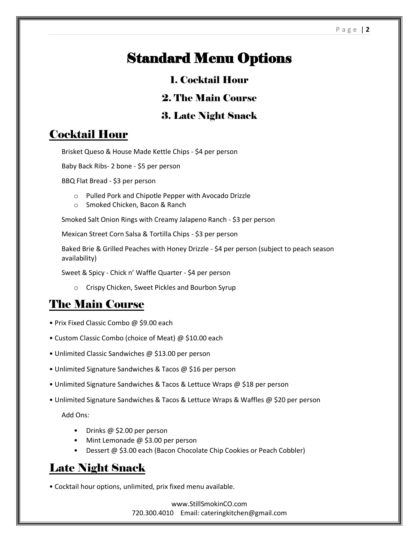## Standard Menu Options

#### 1. Cocktail Hour

#### 2. The Main Course

#### 3. Late Night Snack

#### Cocktail Hour

Brisket Queso & House Made Kettle Chips - \$4 per person

Baby Back Ribs- 2 bone - \$5 per person

BBQ Flat Bread - \$3 per person

- o Pulled Pork and Chipotle Pepper with Avocado Drizzle
- o Smoked Chicken, Bacon & Ranch

Smoked Salt Onion Rings with Creamy Jalapeno Ranch - \$3 per person

Mexican Street Corn Salsa & Tortilla Chips - \$3 per person

Baked Brie & Grilled Peaches with Honey Drizzle - \$4 per person (subject to peach season availability)

Sweet & Spicy - Chick n' Waffle Quarter - \$4 per person

o Crispy Chicken, Sweet Pickles and Bourbon Syrup

#### The Main Course

- Prix Fixed Classic Combo @ \$9.00 each
- Custom Classic Combo (choice of Meat) @ \$10.00 each
- Unlimited Classic Sandwiches @ \$13.00 per person
- Unlimited Signature Sandwiches & Tacos @ \$16 per person
- Unlimited Signature Sandwiches & Tacos & Lettuce Wraps @ \$18 per person
- Unlimited Signature Sandwiches & Tacos & Lettuce Wraps & Waffles @ \$20 per person

Add Ons:

- Drinks @ \$2.00 per person
- Mint Lemonade @ \$3.00 per person
- Dessert @ \$3.00 each (Bacon Chocolate Chip Cookies or Peach Cobbler)

#### Late Night Snack

• Cocktail hour options, unlimited, prix fixed menu available.

[www.StillSmokinCO.com](http://www.stillsmokinco.com/) 720.300.4010 Email: cateringkitchen@gmail.com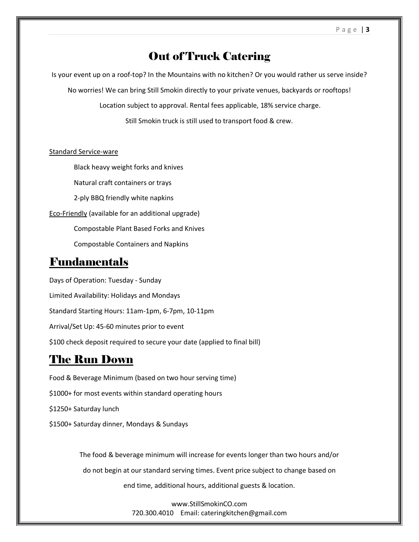#### Out of Truck Catering

Is your event up on a roof-top? In the Mountains with no kitchen? Or you would rather us serve inside?

No worries! We can bring Still Smokin directly to your private venues, backyards or rooftops!

Location subject to approval. Rental fees applicable, 18% service charge.

Still Smokin truck is still used to transport food & crew.

#### Standard Service-ware

Black heavy weight forks and knives Natural craft containers or trays 2-ply BBQ friendly white napkins Eco-Friendly (available for an additional upgrade) Compostable Plant Based Forks and Knives Compostable Containers and Napkins

#### Fundamentals

Days of Operation: Tuesday - Sunday Limited Availability: Holidays and Mondays Standard Starting Hours: 11am-1pm, 6-7pm, 10-11pm Arrival/Set Up: 45-60 minutes prior to event \$100 check deposit required to secure your date (applied to final bill)

#### The Run Down

Food & Beverage Minimum (based on two hour serving time) \$1000+ for most events within standard operating hours \$1250+ Saturday lunch \$1500+ Saturday dinner, Mondays & Sundays

> The food & beverage minimum will increase for events longer than two hours and/or do not begin at our standard serving times. Event price subject to change based on end time, additional hours, additional guests & location.

> > [www.StillSmokinCO.com](http://www.stillsmokinco.com/) 720.300.4010 Email: cateringkitchen@gmail.com